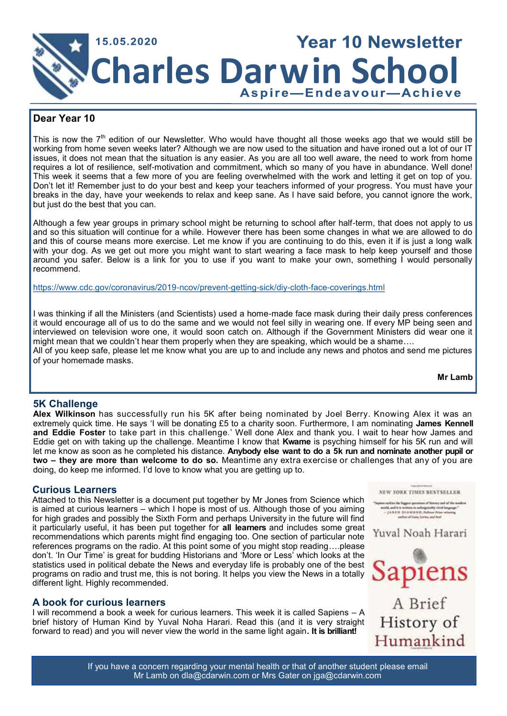

# **Dear Year 10**

This is now the  $7<sup>th</sup>$  edition of our Newsletter. Who would have thought all those weeks ago that we would still be working from home seven weeks later? Although we are now used to the situation and have ironed out a lot of our IT issues, it does not mean that the situation is any easier. As you are all too well aware, the need to work from home requires a lot of resilience, self-motivation and commitment, which so many of you have in abundance. Well done! This week it seems that a few more of you are feeling overwhelmed with the work and letting it get on top of you. Don't let it! Remember just to do your best and keep your teachers informed of your progress. You must have your breaks in the day, have your weekends to relax and keep sane. As I have said before, you cannot ignore the work, but just do the best that you can.

Although a few year groups in primary school might be returning to school after half-term, that does not apply to us and so this situation will continue for a while. However there has been some changes in what we are allowed to do and this of course means more exercise. Let me know if you are continuing to do this, even it if is just a long walk with your dog. As we get out more you might want to start wearing a face mask to help keep yourself and those around you safer. Below is a link for you to use if you want to make your own, something I would personally recommend.

<https://www.cdc.gov/coronavirus/2019-ncov/prevent-getting-sick/diy-cloth-face-coverings.html>

I was thinking if all the Ministers (and Scientists) used a home-made face mask during their daily press conferences it would encourage all of us to do the same and we would not feel silly in wearing one. If every MP being seen and interviewed on television wore one, it would soon catch on. Although if the Government Ministers did wear one it might mean that we couldn't hear them properly when they are speaking, which would be a shame…. All of you keep safe, please let me know what you are up to and include any news and photos and send me pictures of your homemade masks.

**Mr Lamb**

# **5K Challenge**

**Alex Wilkinson** has successfully run his 5K after being nominated by Joel Berry. Knowing Alex it was an extremely quick time. He says 'I will be donating £5 to a charity soon. Furthermore, I am nominating **James Kennell and Eddie Foster** to take part in this challenge.' Well done Alex and thank you. I wait to hear how James and Eddie get on with taking up the challenge. Meantime I know that **Kwame** is psyching himself for his 5K run and will let me know as soon as he completed his distance. **Anybody else want to do a 5k run and nominate another pupil or two – they are more than welcome to do so.** Meantime any extra exercise or challenges that any of you are doing, do keep me informed. I'd love to know what you are getting up to.

# **Curious Learners**

Attached to this Newsletter is a document put together by Mr Jones from Science which is aimed at curious learners – which I hope is most of us. Although those of you aiming for high grades and possibly the Sixth Form and perhaps University in the future will find it particularly useful, it has been put together for **all learners** and includes some great recommendations which parents might find engaging too. One section of particular note references programs on the radio. At this point some of you might stop reading….please don't. 'In Our Time' is great for budding Historians and 'More or Less' which looks at the statistics used in political debate the News and everyday life is probably one of the best programs on radio and trust me, this is not boring. It helps you view the News in a totally different light. Highly recommended.

# **A book for curious learners**

I will recommend a book a week for curious learners. This week it is called Sapiens – A brief history of Human Kind by Yuval Noha Harari. Read this (and it is very straight forward to read) and you will never view the world in the same light again**. It is brilliant!**



If you have a concern regarding your mental health or that of another student please email Mr Lamb on dla@cdarwin.com or Mrs Gater on jga@cdarwin.com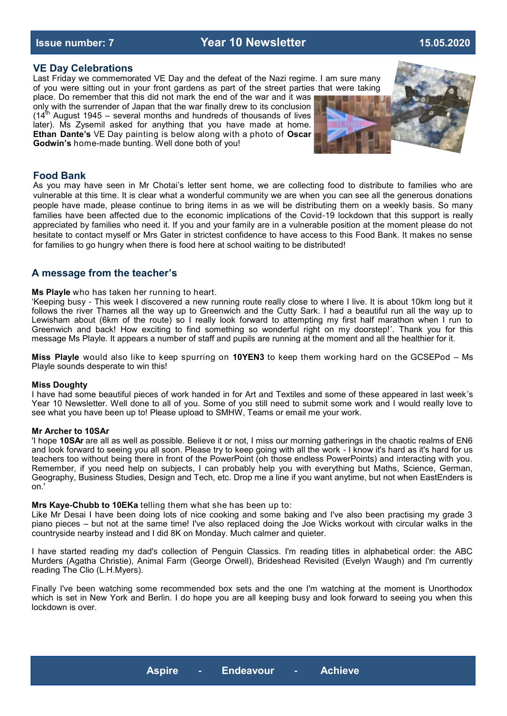**Issue number: 7 Year 10 Newsletter 15.05.2020**

### **VE Day Celebrations**

Last Friday we commemorated VE Day and the defeat of the Nazi regime. I am sure many of you were sitting out in your front gardens as part of the street parties that were taking place. Do remember that this did not mark the end of the war and it was

only with the surrender of Japan that the war finally drew to its conclusion  $(14<sup>th</sup>$  August 1945 – several months and hundreds of thousands of lives later). Ms Zysemil asked for anything that you have made at home. **Ethan Dante's** VE Day painting is below along with a photo of **Oscar Godwin's** home-made bunting. Well done both of you!



### **Food Bank**

As you may have seen in Mr Chotai's letter sent home, we are collecting food to distribute to families who are vulnerable at this time. It is clear what a wonderful community we are when you can see all the generous donations people have made, please continue to bring items in as we will be distributing them on a weekly basis. So many families have been affected due to the economic implications of the Covid-19 lockdown that this support is really appreciated by families who need it. If you and your family are in a vulnerable position at the moment please do not hesitate to contact myself or Mrs Gater in strictest confidence to have access to this Food Bank. It makes no sense for families to go hungry when there is food here at school waiting to be distributed!

### **A message from the teacher's**

### **Ms Playle** who has taken her running to heart.

'Keeping busy - This week I discovered a new running route really close to where I live. It is about 10km long but it follows the river Thames all the way up to Greenwich and the Cutty Sark. I had a beautiful run all the way up to Lewisham about (6km of the route) so I really look forward to attempting my first half marathon when I run to Greenwich and back! How exciting to find something so wonderful right on my doorstep!'. Thank you for this message Ms Playle. It appears a number of staff and pupils are running at the moment and all the healthier for it.

**Miss Playle** would also like to keep spurring on **10YEN3** to keep them working hard on the GCSEPod – Ms Playle sounds desperate to win this!

### **Miss Doughty**

I have had some beautiful pieces of work handed in for Art and Textiles and some of these appeared in last week's Year 10 Newsletter. Well done to all of you. Some of you still need to submit some work and I would really love to see what you have been up to! Please upload to SMHW, Teams or email me your work.

### **Mr Archer to 10SAr**

'I hope **10SAr** are all as well as possible. Believe it or not, I miss our morning gatherings in the chaotic realms of EN6 and look forward to seeing you all soon. Please try to keep going with all the work - I know it's hard as it's hard for us teachers too without being there in front of the PowerPoint (oh those endless PowerPoints) and interacting with you. Remember, if you need help on subjects, I can probably help you with everything but Maths, Science, German, Geography, Business Studies, Design and Tech, etc. Drop me a line if you want anytime, but not when EastEnders is on.'

### **Mrs Kaye-Chubb to 10EKa** telling them what she has been up to:

Like Mr Desai I have been doing lots of nice cooking and some baking and I've also been practising my grade 3 piano pieces – but not at the same time! I've also replaced doing the Joe Wicks workout with circular walks in the countryside nearby instead and I did 8K on Monday. Much calmer and quieter.

I have started reading my dad's collection of Penguin Classics. I'm reading titles in alphabetical order: the ABC Murders (Agatha Christie), Animal Farm (George Orwell), Brideshead Revisited (Evelyn Waugh) and I'm currently reading The Clio (L.H.Myers).

Finally I've been watching some recommended box sets and the one I'm watching at the moment is Unorthodox which is set in New York and Berlin. I do hope you are all keeping busy and look forward to seeing you when this lockdown is over.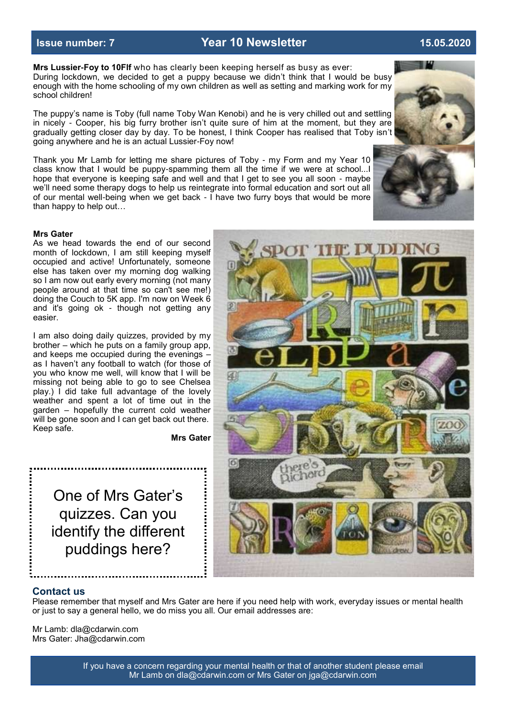### **Mrs Lussier-Foy to 10Flf** who has clearly been keeping herself as busy as ever: During lockdown, we decided to get a puppy because we didn't think that I would be busy enough with the home schooling of my own children as well as setting and marking work for my school children!

The puppy's name is Toby (full name Toby Wan Kenobi) and he is very chilled out and settling in nicely - Cooper, his big furry brother isn't quite sure of him at the moment, but they are gradually getting closer day by day. To be honest, I think Cooper has realised that Toby isn't going anywhere and he is an actual Lussier-Foy now!

Thank you Mr Lamb for letting me share pictures of Toby - my Form and my Year 10 class know that I would be puppy-spamming them all the time if we were at school...I hope that everyone is keeping safe and well and that I get to see you all soon - maybe we'll need some therapy dogs to help us reintegrate into formal education and sort out all of our mental well-being when we get back - I have two furry boys that would be more than happy to help out…

### **Mrs Gater**

As we head towards the end of our second month of lockdown, I am still keeping myself occupied and active! Unfortunately, someone else has taken over my morning dog walking so I am now out early every morning (not many people around at that time so can't see me!) doing the Couch to 5K app. I'm now on Week 6 and it's going ok - though not getting any easier.

I am also doing daily quizzes, provided by my brother – which he puts on a family group app, and keeps me occupied during the evenings – as I haven't any football to watch (for those of you who know me well, will know that I will be missing not being able to go to see Chelsea play.) I did take full advantage of the lovely weather and spent a lot of time out in the garden – hopefully the current cold weather will be gone soon and I can get back out there. Keep safe.

**Mrs Gater**

One of Mrs Gater's quizzes. Can you identify the different puddings here?

Please remember that myself and Mrs Gater are here if you need help with work, everyday issues or mental health or just to say a general hello, we do miss you all. Our email addresses are:

Mr Lamb: dla@cdarwin.com Mrs Gater: Jha@cdarwin.com

**Contact us**







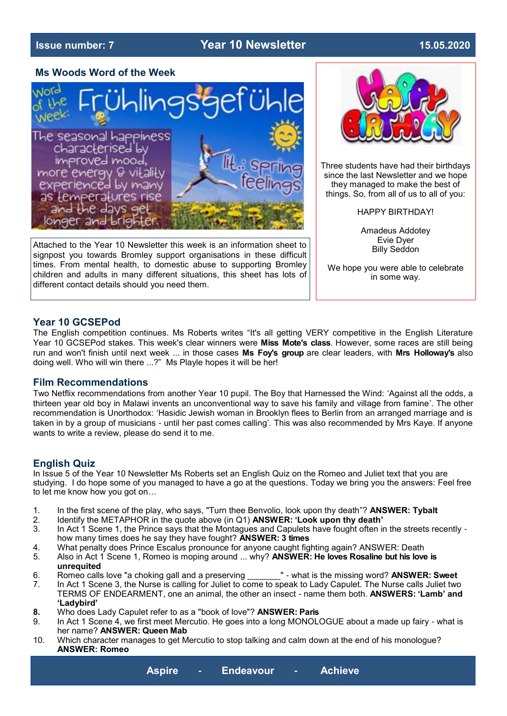# **Issue number: 7 Year 10 Newsletter 15.05.2020**

### **Ms Woods Word of the Week**



Attached to the Year 10 Newsletter this week is an information sheet to signpost you towards Bromley support organisations in these difficult times. From mental health, to domestic abuse to supporting Bromley children and adults in many different situations, this sheet has lots of different contact details should you need them.



Three students have had their birthdays since the last Newsletter and we hope they managed to make the best of things. So, from all of us to all of you:

HAPPY BIRTHDAY!

Amadeus Addotey Evie Dyer Billy Seddon

We hope you were able to celebrate in some way.

# **Year 10 GCSEPod**

The English competition continues. Ms Roberts writes "It's all getting VERY competitive in the English Literature Year 10 GCSEPod stakes. This week's clear winners were **Miss Mote's class**. However, some races are still being run and won't finish until next week ... in those cases **Ms Foy's group** are clear leaders, with **Mrs Holloway's** also doing well. Who will win there ...?" Ms Playle hopes it will be her!

# **Film Recommendations**

Two Netflix recommendations from another Year 10 pupil. The Boy that Harnessed the Wind: 'Against all the odds, a thirteen year old boy in Malawi invents an unconventional way to save his family and village from famine'. The other recommendation is Unorthodox: 'Hasidic Jewish woman in Brooklyn flees to Berlin from an arranged marriage and is taken in by a group of musicians - until her past comes calling'. This was also recommended by Mrs Kaye. If anyone wants to write a review, please do send it to me.

# **English Quiz**

In Issue 5 of the Year 10 Newsletter Ms Roberts set an English Quiz on the Romeo and Juliet text that you are studying. I do hope some of you managed to have a go at the questions. Today we bring you the answers: Feel free to let me know how you got on…

- 1. In the first scene of the play, who says, "Turn thee Benvolio, look upon thy death"? **ANSWER: Tybalt**
- 2. Identify the METAPHOR in the quote above (in Q1) **ANSWER: 'Look upon thy death'**
- In Act 1 Scene 1, the Prince says that the Montagues and Capulets have fought often in the streets recently how many times does he say they have fought? **ANSWER: 3 times**
- 4. What penalty does Prince Escalus pronounce for anyone caught fighting again? ANSWER: Death
- 5. Also in Act 1 Scene 1, Romeo is moping around ... why? **ANSWER: He loves Rosaline but his love is unrequited**
- 6. Romeo calls love "a choking gall and a preserving \_\_\_\_\_\_\_" what is the missing word? **ANSWER: Sweet**
- 7. In Act 1 Scene 3, the Nurse is calling for Juliet to come to speak to Lady Capulet. The Nurse calls Juliet two TERMS OF ENDEARMENT, one an animal, the other an insect - name them both. **ANSWERS: 'Lamb' and 'Ladybird'**
- **8.** Who does Lady Capulet refer to as a "book of love"? **ANSWER: Paris**
- 9. In Act 1 Scene 4, we first meet Mercutio. He goes into a long MONOLOGUE about a made up fairy what is her name? **ANSWER: Queen Mab**
- 10. Which character manages to get Mercutio to stop talking and calm down at the end of his monologue? **ANSWER: Romeo**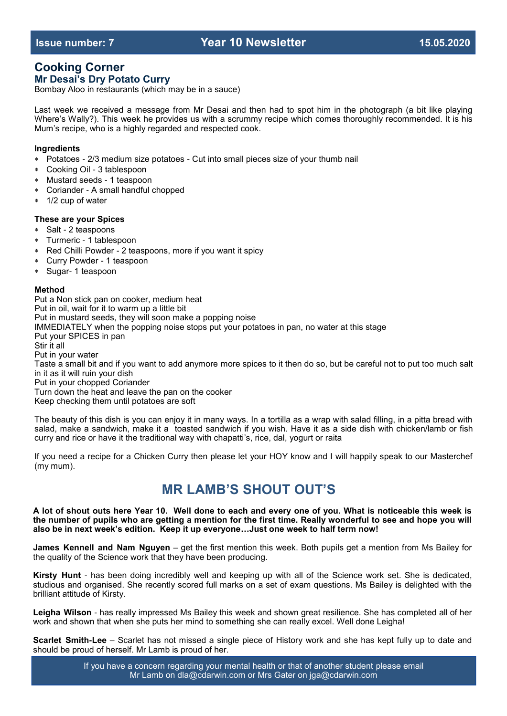# **Cooking Corner**

# **Mr Desai's Dry Potato Curry**

Bombay Aloo in restaurants (which may be in a sauce)

Last week we received a message from Mr Desai and then had to spot him in the photograph (a bit like playing Where's Wally?). This week he provides us with a scrummy recipe which comes thoroughly recommended. It is his Mum's recipe, who is a highly regarded and respected cook.

# **Ingredients**

- Potatoes 2/3 medium size potatoes Cut into small pieces size of your thumb nail
- Cooking Oil 3 tablespoon
- Mustard seeds 1 teaspoon
- Coriander A small handful chopped
- 1/2 cup of water

### **These are your Spices**

- Salt 2 teaspoons
- Turmeric 1 tablespoon
- Red Chilli Powder 2 teaspoons, more if you want it spicy
- Curry Powder 1 teaspoon
- Sugar- 1 teaspoon

### **Method**

Put a Non stick pan on cooker, medium heat Put in oil, wait for it to warm up a little bit Put in mustard seeds, they will soon make a popping noise IMMEDIATELY when the popping noise stops put your potatoes in pan, no water at this stage Put your SPICES in pan Stir it all Put in your water Taste a small bit and if you want to add anymore more spices to it then do so, but be careful not to put too much salt in it as it will ruin your dish Put in your chopped Coriander Turn down the heat and leave the pan on the cooker Keep checking them until potatoes are soft

The beauty of this dish is you can enjoy it in many ways. In a tortilla as a wrap with salad filling, in a pitta bread with salad, make a sandwich, make it a toasted sandwich if you wish. Have it as a side dish with chicken/lamb or fish curry and rice or have it the traditional way with chapatti's, rice, dal, yogurt or raita

If you need a recipe for a Chicken Curry then please let your HOY know and I will happily speak to our Masterchef (my mum).

# **MR LAMB'S SHOUT OUT'S**

**A lot of shout outs here Year 10. Well done to each and every one of you. What is noticeable this week is the number of pupils who are getting a mention for the first time. Really wonderful to see and hope you will also be in next week's edition. Keep it up everyone…Just one week to half term now!**

**James Kennell and Nam Nguyen** – get the first mention this week. Both pupils get a mention from Ms Bailey for the quality of the Science work that they have been producing.

**Kirsty Hunt** - has been doing incredibly well and keeping up with all of the Science work set. She is dedicated, studious and organised. She recently scored full marks on a set of exam questions. Ms Bailey is delighted with the brilliant attitude of Kirsty.

**Leigha Wilson** - has really impressed Ms Bailey this week and shown great resilience. She has completed all of her work and shown that when she puts her mind to something she can really excel. Well done Leigha!

**Scarlet Smith-Lee** – Scarlet has not missed a single piece of History work and she has kept fully up to date and should be proud of herself. Mr Lamb is proud of her.

> If you have a concern regarding your mental health or that of another student please email Mr Lamb on dla@cdarwin.com or Mrs Gater on jga@cdarwin.com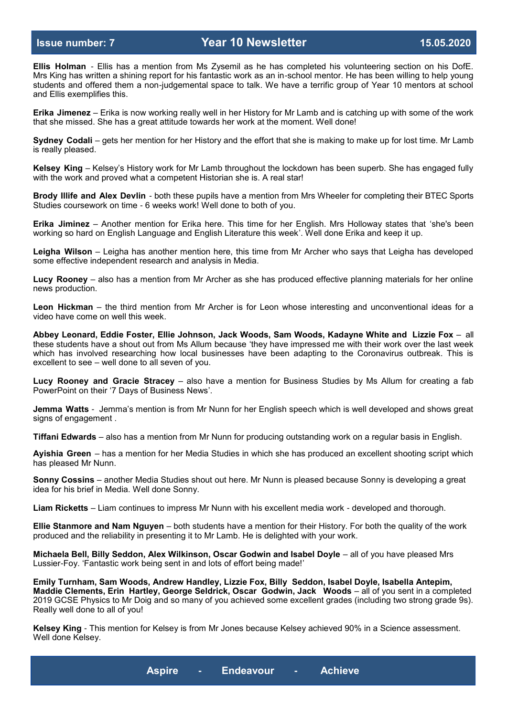**Ellis Holman** - Ellis has a mention from Ms Zysemil as he has completed his volunteering section on his DofE. Mrs King has written a shining report for his fantastic work as an in-school mentor. He has been willing to help young students and offered them a non-judgemental space to talk. We have a terrific group of Year 10 mentors at school and Ellis exemplifies this.

**Erika Jimenez** – Erika is now working really well in her History for Mr Lamb and is catching up with some of the work that she missed. She has a great attitude towards her work at the moment. Well done!

**Sydney Codali** – gets her mention for her History and the effort that she is making to make up for lost time. Mr Lamb is really pleased.

**Kelsey King** – Kelsey's History work for Mr Lamb throughout the lockdown has been superb. She has engaged fully with the work and proved what a competent Historian she is. A real star!

**Brody Illife and Alex Devlin** - both these pupils have a mention from Mrs Wheeler for completing their BTEC Sports Studies coursework on time - 6 weeks work! Well done to both of you.

**Erika Jiminez** – Another mention for Erika here. This time for her English. Mrs Holloway states that 'she's been working so hard on English Language and English Literature this week'. Well done Erika and keep it up.

**Leigha Wilson** – Leigha has another mention here, this time from Mr Archer who says that Leigha has developed some effective independent research and analysis in Media.

**Lucy Rooney** – also has a mention from Mr Archer as she has produced effective planning materials for her online news production.

**Leon Hickman** – the third mention from Mr Archer is for Leon whose interesting and unconventional ideas for a video have come on well this week.

**Abbey Leonard, Eddie Foster, Ellie Johnson, Jack Woods, Sam Woods, Kadayne White and Lizzie Fox** – all these students have a shout out from Ms Allum because 'they have impressed me with their work over the last week which has involved researching how local businesses have been adapting to the Coronavirus outbreak. This is excellent to see – well done to all seven of you.

**Lucy Rooney and Gracie Stracey** – also have a mention for Business Studies by Ms Allum for creating a fab PowerPoint on their '7 Days of Business News'.

**Jemma Watts** - Jemma's mention is from Mr Nunn for her English speech which is well developed and shows great signs of engagement .

**Tiffani Edwards** – also has a mention from Mr Nunn for producing outstanding work on a regular basis in English.

**Ayishia Green** – has a mention for her Media Studies in which she has produced an excellent shooting script which has pleased Mr Nunn.

**Sonny Cossins** – another Media Studies shout out here. Mr Nunn is pleased because Sonny is developing a great idea for his brief in Media. Well done Sonny.

**Liam Ricketts** – Liam continues to impress Mr Nunn with his excellent media work - developed and thorough.

**Ellie Stanmore and Nam Nguyen** – both students have a mention for their History. For both the quality of the work produced and the reliability in presenting it to Mr Lamb. He is delighted with your work.

**Michaela Bell, Billy Seddon, Alex Wilkinson, Oscar Godwin and Isabel Doyle** – all of you have pleased Mrs Lussier-Foy. 'Fantastic work being sent in and lots of effort being made!'

**Emily Turnham, Sam Woods, Andrew Handley, Lizzie Fox, Billy Seddon, Isabel Doyle, Isabella Antepim, Maddie Clements, Erin Hartley, George Seldrick, Oscar Godwin, Jack Woods** – all of you sent in a completed 2019 GCSE Physics to Mr Doig and so many of you achieved some excellent grades (including two strong grade 9s). Really well done to all of you!

**Kelsey King** - This mention for Kelsey is from Mr Jones because Kelsey achieved 90% in a Science assessment. Well done Kelsey.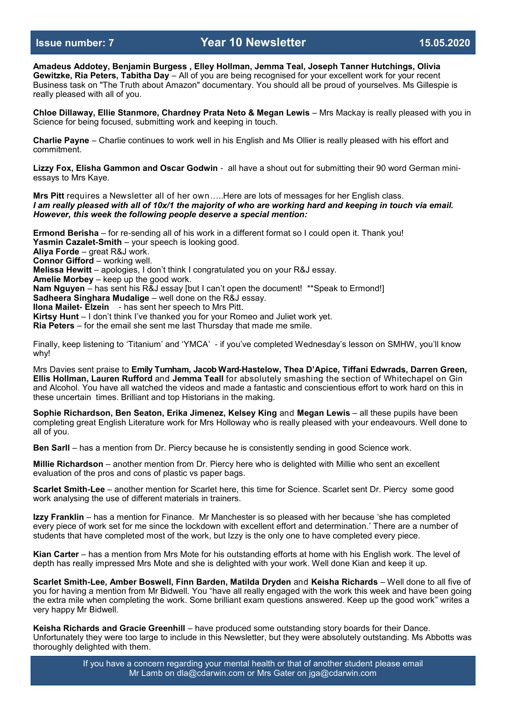**Amadeus Addotey, Benjamin Burgess , Elley Hollman, Jemma Teal, Joseph Tanner Hutchings, Olivia Gewitzke, Ria Peters, Tabitha Day** – All of you are being recognised for your excellent work for your recent Business task on "The Truth about Amazon" documentary. You should all be proud of yourselves. Ms Gillespie is really pleased with all of you.

**Chloe Dillaway, Ellie Stanmore, Chardney Prata Neto & Megan Lewis** – Mrs Mackay is really pleased with you in Science for being focused, submitting work and keeping in touch.

**Charlie Payne** – Charlie continues to work well in his English and Ms Ollier is really pleased with his effort and commitment.

**Lizzy Fox, Elisha Gammon and Oscar Godwin** - all have a shout out for submitting their 90 word German miniessays to Mrs Kaye.

**Mrs Pitt** requires a Newsletter all of her own…..Here are lots of messages for her English class. *I am really pleased with all of 10x/1 the majority of who are working hard and keeping in touch via email. However, this week the following people deserve a special mention:*

**Ermond Berisha** – for re-sending all of his work in a different format so I could open it. Thank you! **Yasmin Cazalet-Smith** – your speech is looking good. **Aliya Forde** – great R&J work. **Connor Gifford** – working well. **Melissa Hewitt** – apologies, I don't think I congratulated you on your R&J essay. **Amelie Morbey** – keep up the good work. **Nam Nguyen** – has sent his R&J essay [but I can't open the document! \*\*Speak to Ermond!] **Sadheera Singhara Mudalige** – well done on the R&J essay. **Ilona Mailet- Elzein** - has sent her speech to Mrs Pitt.

**Kirtsy Hunt** – I don't think I've thanked you for your Romeo and Juliet work yet.

**Ria Peters** – for the email she sent me last Thursday that made me smile.

Finally, keep listening to 'Titanium' and 'YMCA' - if you've completed Wednesday's lesson on SMHW, you'll know why!

Mrs Davies sent praise to **Emily Turnham, Jacob Ward-Hastelow, Thea D'Apice, Tiffani Edwrads, Darren Green, Ellis Hollman, Lauren Rufford** and **Jemma Teall** for absolutely smashing the section of Whitechapel on Gin and Alcohol. You have all watched the videos and made a fantastic and conscientious effort to work hard on this in these uncertain times. Brilliant and top Historians in the making.

**Sophie Richardson, Ben Seaton, Erika Jimenez, Kelsey King** and **Megan Lewis** – all these pupils have been completing great English Literature work for Mrs Holloway who is really pleased with your endeavours. Well done to all of you.

**Ben Sarll** – has a mention from Dr. Piercy because he is consistently sending in good Science work.

**Millie Richardson** – another mention from Dr. Piercy here who is delighted with Millie who sent an excellent evaluation of the pros and cons of plastic vs paper bags.

**Scarlet Smith-Lee** – another mention for Scarlet here, this time for Science. Scarlet sent Dr. Piercy some good work analysing the use of different materials in trainers.

**Izzy Franklin** – has a mention for Finance. Mr Manchester is so pleased with her because 'she has completed every piece of work set for me since the lockdown with excellent effort and determination.' There are a number of students that have completed most of the work, but Izzy is the only one to have completed every piece.

**Kian Carter** – has a mention from Mrs Mote for his outstanding efforts at home with his English work. The level of depth has really impressed Mrs Mote and she is delighted with your work. Well done Kian and keep it up.

**Scarlet Smith-Lee, Amber Boswell, Finn Barden, Matilda Dryden** and **Keisha Richards** – Well done to all five of you for having a mention from Mr Bidwell. You "have all really engaged with the work this week and have been going the extra mile when completing the work. Some brilliant exam questions answered. Keep up the good work" writes a very happy Mr Bidwell.

**Keisha Richards and Gracie Greenhill** – have produced some outstanding story boards for their Dance. Unfortunately they were too large to include in this Newsletter, but they were absolutely outstanding. Ms Abbotts was thoroughly delighted with them.